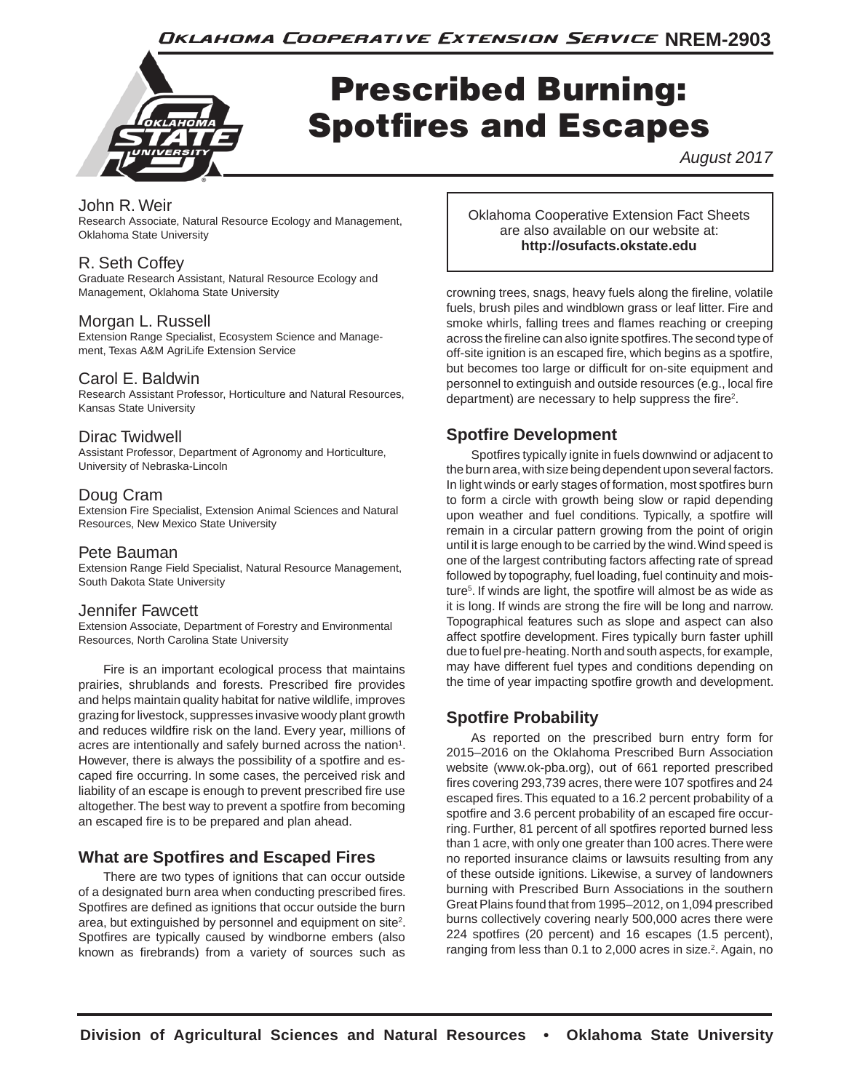Oklahoma Cooperative Extension Service NREM-2903



# Prescribed Burning: Spotfires and Escapes

*August 2017*

## John R. Weir

Research Associate, Natural Resource Ecology and Management, Oklahoma State University

# R. Seth Coffey

Graduate Research Assistant, Natural Resource Ecology and Management, Oklahoma State University

### Morgan L. Russell

Extension Range Specialist, Ecosystem Science and Management, Texas A&M AgriLife Extension Service

### Carol E. Baldwin

Research Assistant Professor, Horticulture and Natural Resources, Kansas State University

### Dirac Twidwell

Assistant Professor, Department of Agronomy and Horticulture, University of Nebraska-Lincoln

#### Doug Cram

Extension Fire Specialist, Extension Animal Sciences and Natural Resources, New Mexico State University

#### Pete Bauman

Extension Range Field Specialist, Natural Resource Management, South Dakota State University

#### Jennifer Fawcett

Extension Associate, Department of Forestry and Environmental Resources, North Carolina State University

Fire is an important ecological process that maintains prairies, shrublands and forests. Prescribed fire provides and helps maintain quality habitat for native wildlife, improves grazing for livestock, suppresses invasive woody plant growth and reduces wildfire risk on the land. Every year, millions of acres are intentionally and safely burned across the nation<sup>1</sup>. However, there is always the possibility of a spotfire and escaped fire occurring. In some cases, the perceived risk and liability of an escape is enough to prevent prescribed fire use altogether. The best way to prevent a spotfire from becoming an escaped fire is to be prepared and plan ahead.

# **What are Spotfires and Escaped Fires**

There are two types of ignitions that can occur outside of a designated burn area when conducting prescribed fires. Spotfires are defined as ignitions that occur outside the burn area, but extinguished by personnel and equipment on site $2$ . Spotfires are typically caused by windborne embers (also known as firebrands) from a variety of sources such as Oklahoma Cooperative Extension Fact Sheets are also available on our website at: **http://osufacts.okstate.edu**

crowning trees, snags, heavy fuels along the fireline, volatile fuels, brush piles and windblown grass or leaf litter. Fire and smoke whirls, falling trees and flames reaching or creeping across the fireline can also ignite spotfires. The second type of off-site ignition is an escaped fire, which begins as a spotfire, but becomes too large or difficult for on-site equipment and personnel to extinguish and outside resources (e.g., local fire department) are necessary to help suppress the fire<sup>2</sup>.

# **Spotfire Development**

Spotfires typically ignite in fuels downwind or adjacent to the burn area, with size being dependent upon several factors. In light winds or early stages of formation, most spotfires burn to form a circle with growth being slow or rapid depending upon weather and fuel conditions. Typically, a spotfire will remain in a circular pattern growing from the point of origin until it is large enough to be carried by the wind. Wind speed is one of the largest contributing factors affecting rate of spread followed by topography, fuel loading, fuel continuity and moisture<sup>5</sup>. If winds are light, the spotfire will almost be as wide as it is long. If winds are strong the fire will be long and narrow. Topographical features such as slope and aspect can also affect spotfire development. Fires typically burn faster uphill due to fuel pre-heating. North and south aspects, for example, may have different fuel types and conditions depending on the time of year impacting spotfire growth and development.

# **Spotfire Probability**

As reported on the prescribed burn entry form for 2015–2016 on the Oklahoma Prescribed Burn Association website (www.ok-pba.org), out of 661 reported prescribed fires covering 293,739 acres, there were 107 spotfires and 24 escaped fires. This equated to a 16.2 percent probability of a spotfire and 3.6 percent probability of an escaped fire occurring. Further, 81 percent of all spotfires reported burned less than 1 acre, with only one greater than 100 acres. There were no reported insurance claims or lawsuits resulting from any of these outside ignitions. Likewise, a survey of landowners burning with Prescribed Burn Associations in the southern Great Plains found that from 1995–2012, on 1,094 prescribed burns collectively covering nearly 500,000 acres there were 224 spotfires (20 percent) and 16 escapes (1.5 percent), ranging from less than 0.1 to 2,000 acres in size.<sup>2</sup>. Again, no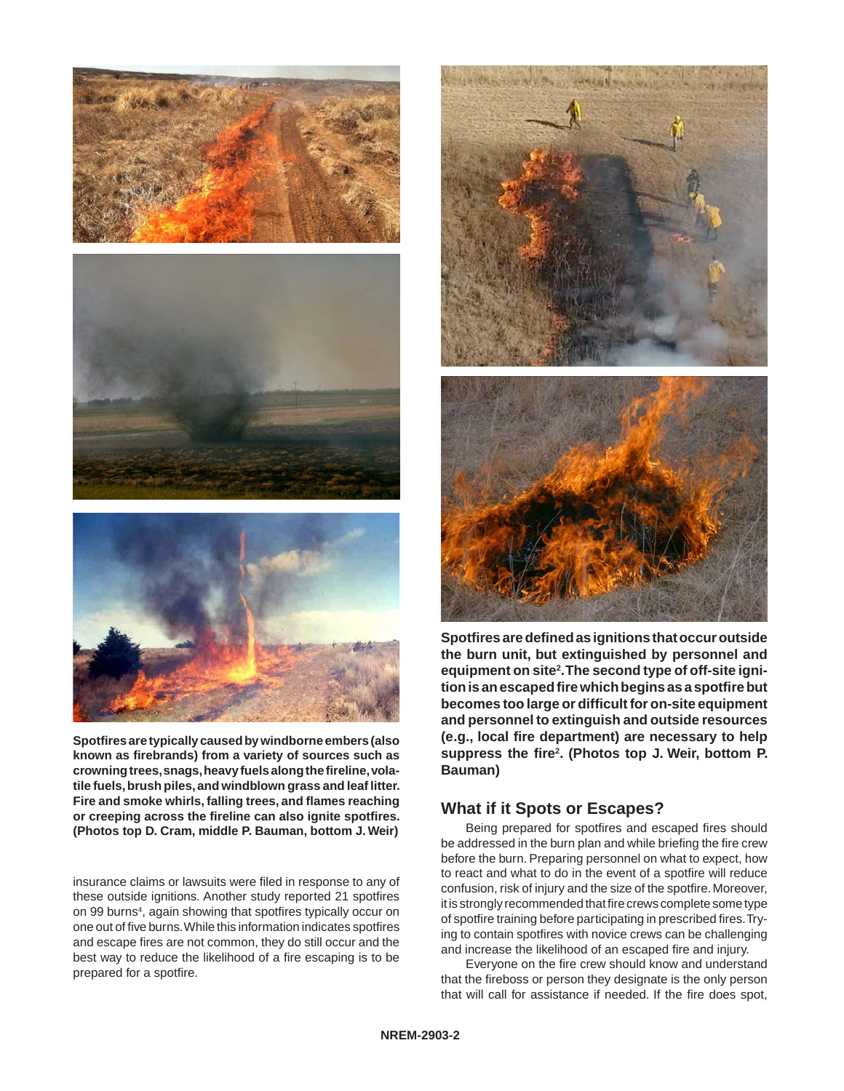





**Spotfires are typically caused by windborne embers (also known as firebrands) from a variety of sources such as crowning trees, snags, heavy fuels along the fireline, volatile fuels, brush piles, and windblown grass and leaf litter. Fire and smoke whirls, falling trees, and flames reaching or creeping across the fireline can also ignite spotfires. (Photos top D. Cram, middle P. Bauman, bottom J. Weir)**

insurance claims or lawsuits were filed in response to any of these outside ignitions. Another study reported 21 spotfires on 99 burns<sup>4</sup>, again showing that spotfires typically occur on one out of five burns. While this information indicates spotfires and escape fires are not common, they do still occur and the best way to reduce the likelihood of a fire escaping is to be prepared for a spotfire.



**Spotfires are defined as ignitions that occur outside the burn unit, but extinguished by personnel and equipment on site2 . The second type of off-site ignition is an escaped fire which begins as a spotfire but becomes too large or difficult for on-site equipment and personnel to extinguish and outside resources (e.g., local fire department) are necessary to help suppress the fire2 . (Photos top J. Weir, bottom P. Bauman)**

### **What if it Spots or Escapes?**

Being prepared for spotfires and escaped fires should be addressed in the burn plan and while briefing the fire crew before the burn. Preparing personnel on what to expect, how to react and what to do in the event of a spotfire will reduce confusion, risk of injury and the size of the spotfire. Moreover, it is strongly recommended that fire crews complete some type of spotfire training before participating in prescribed fires. Trying to contain spotfires with novice crews can be challenging and increase the likelihood of an escaped fire and injury.

Everyone on the fire crew should know and understand that the fireboss or person they designate is the only person that will call for assistance if needed. If the fire does spot,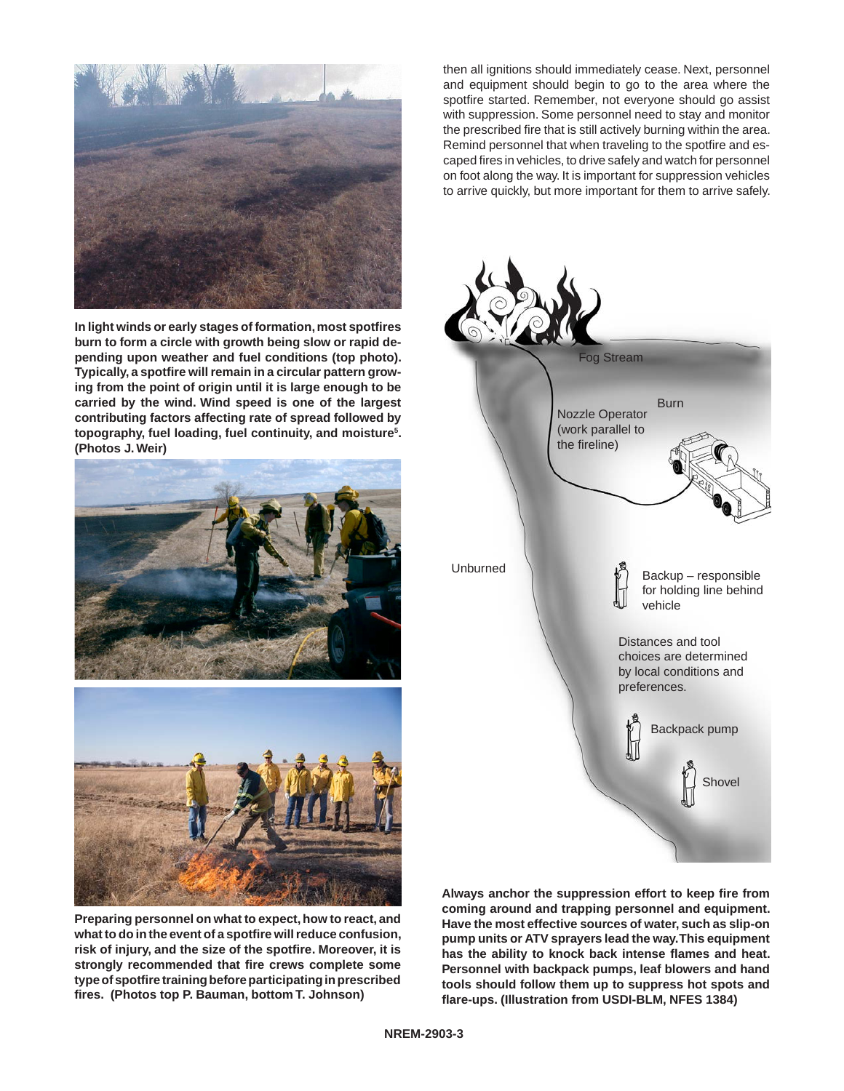

**In light winds or early stages of formation, most spotfires burn to form a circle with growth being slow or rapid depending upon weather and fuel conditions (top photo). Typically, a spotfire will remain in a circular pattern growing from the point of origin until it is large enough to be carried by the wind. Wind speed is one of the largest contributing factors affecting rate of spread followed by topography, fuel loading, fuel continuity, and moisture5 . (Photos J. Weir)**





**Preparing personnel on what to expect, how to react, and what to do in the event of a spotfire will reduce confusion, risk of injury, and the size of the spotfire. Moreover, it is strongly recommended that fire crews complete some type of spotfire training before participating in prescribed fires. (Photos top P. Bauman, bottom T. Johnson)**

then all ignitions should immediately cease. Next, personnel and equipment should begin to go to the area where the spotfire started. Remember, not everyone should go assist with suppression. Some personnel need to stay and monitor the prescribed fire that is still actively burning within the area. Remind personnel that when traveling to the spotfire and escaped fires in vehicles, to drive safely and watch for personnel on foot along the way. It is important for suppression vehicles to arrive quickly, but more important for them to arrive safely.



**Always anchor the suppression effort to keep fire from coming around and trapping personnel and equipment. Have the most effective sources of water, such as slip-on pump units or ATV sprayers lead the way. This equipment has the ability to knock back intense flames and heat. Personnel with backpack pumps, leaf blowers and hand tools should follow them up to suppress hot spots and flare-ups. (Illustration from USDI-BLM, NFES 1384)**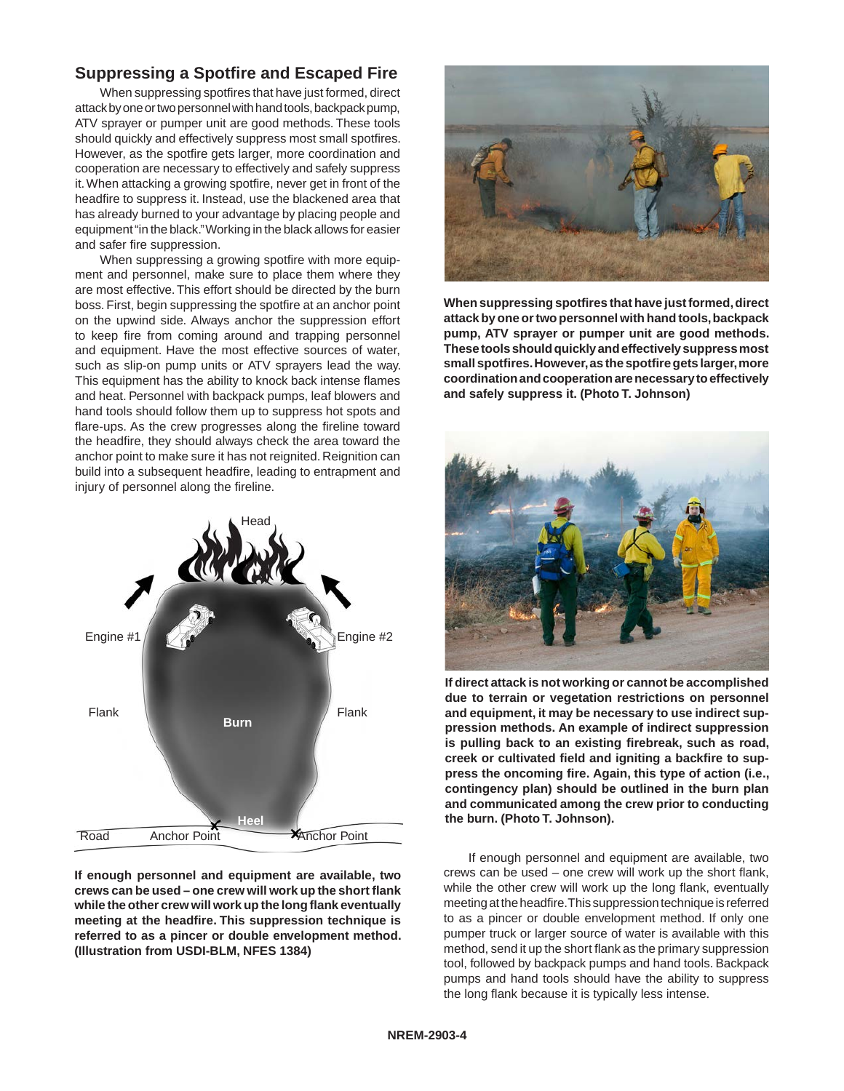# **Suppressing a Spotfire and Escaped Fire**

When suppressing spotfires that have just formed, direct attack by one or two personnel with hand tools, backpack pump, ATV sprayer or pumper unit are good methods. These tools should quickly and effectively suppress most small spotfires. However, as the spotfire gets larger, more coordination and cooperation are necessary to effectively and safely suppress it. When attacking a growing spotfire, never get in front of the headfire to suppress it. Instead, use the blackened area that has already burned to your advantage by placing people and equipment "in the black." Working in the black allows for easier and safer fire suppression.

When suppressing a growing spotfire with more equipment and personnel, make sure to place them where they are most effective. This effort should be directed by the burn boss. First, begin suppressing the spotfire at an anchor point on the upwind side. Always anchor the suppression effort to keep fire from coming around and trapping personnel and equipment. Have the most effective sources of water, such as slip-on pump units or ATV sprayers lead the way. This equipment has the ability to knock back intense flames and heat. Personnel with backpack pumps, leaf blowers and hand tools should follow them up to suppress hot spots and flare-ups. As the crew progresses along the fireline toward the headfire, they should always check the area toward the anchor point to make sure it has not reignited. Reignition can build into a subsequent headfire, leading to entrapment and injury of personnel along the fireline.



**If enough personnel and equipment are available, two crews can be used – one crew will work up the short flank while the other crew will work up the long flank eventually meeting at the headfire. This suppression technique is referred to as a pincer or double envelopment method. (Illustration from USDI-BLM, NFES 1384)**



**When suppressing spotfires that have just formed, direct attack by one or two personnel with hand tools, backpack pump, ATV sprayer or pumper unit are good methods. These tools should quickly and effectively suppress most small spotfires. However, as the spotfire gets larger, more coordination and cooperation are necessary to effectively and safely suppress it. (Photo T. Johnson)**



**If direct attack is not working or cannot be accomplished due to terrain or vegetation restrictions on personnel and equipment, it may be necessary to use indirect suppression methods. An example of indirect suppression is pulling back to an existing firebreak, such as road, creek or cultivated field and igniting a backfire to suppress the oncoming fire. Again, this type of action (i.e., contingency plan) should be outlined in the burn plan and communicated among the crew prior to conducting the burn. (Photo T. Johnson).**

If enough personnel and equipment are available, two crews can be used – one crew will work up the short flank, while the other crew will work up the long flank, eventually meeting at the headfire. This suppression technique is referred to as a pincer or double envelopment method. If only one pumper truck or larger source of water is available with this method, send it up the short flank as the primary suppression tool, followed by backpack pumps and hand tools. Backpack pumps and hand tools should have the ability to suppress the long flank because it is typically less intense.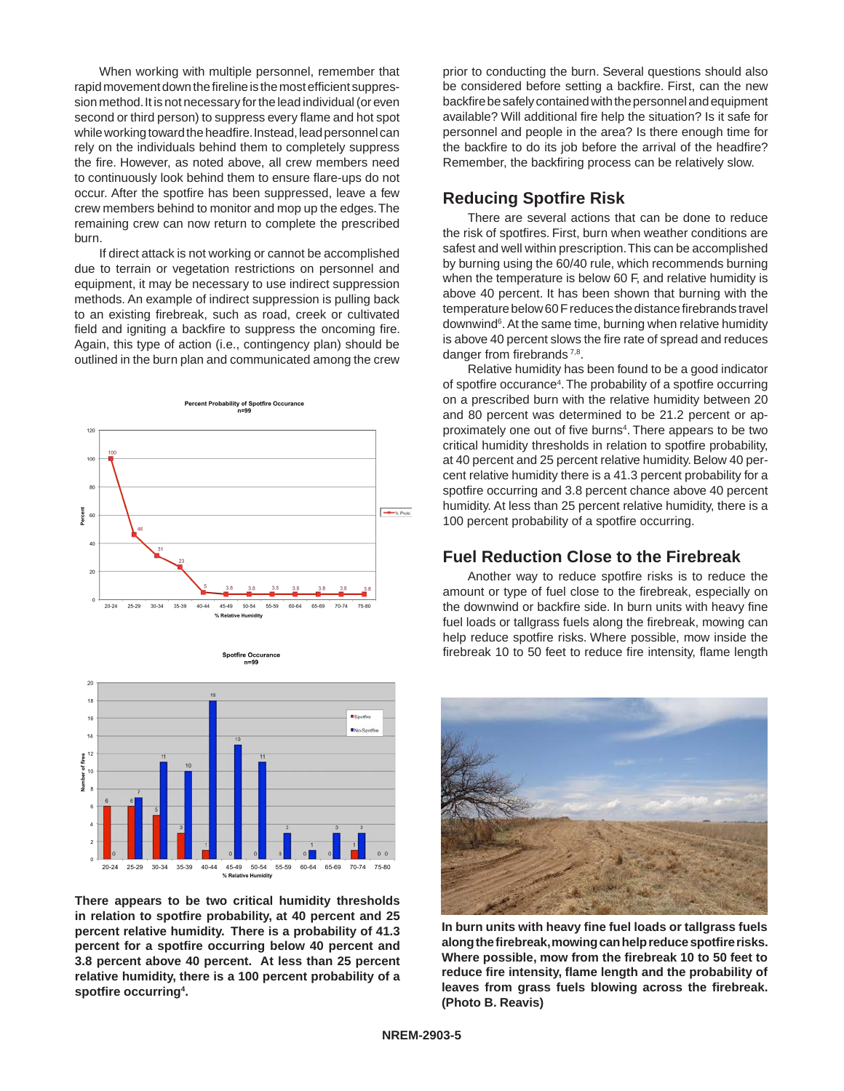When working with multiple personnel, remember that rapid movement down the fireline is the most efficient suppression method. It is not necessary for the lead individual (or even second or third person) to suppress every flame and hot spot while working toward the headfire. Instead, lead personnel can rely on the individuals behind them to completely suppress the fire. However, as noted above, all crew members need to continuously look behind them to ensure flare-ups do not occur. After the spotfire has been suppressed, leave a few crew members behind to monitor and mop up the edges. The remaining crew can now return to complete the prescribed burn.

If direct attack is not working or cannot be accomplished due to terrain or vegetation restrictions on personnel and equipment, it may be necessary to use indirect suppression methods. An example of indirect suppression is pulling back to an existing firebreak, such as road, creek or cultivated field and igniting a backfire to suppress the oncoming fire. Again, this type of action (i.e., contingency plan) should be outlined in the burn plan and communicated among the crew



Spotfire Occurance



**There appears to be two critical humidity thresholds in relation to spotfire probability, at 40 percent and 25 percent relative humidity. There is a probability of 41.3 percent for a spotfire occurring below 40 percent and 3.8 percent above 40 percent. At less than 25 percent relative humidity, there is a 100 percent probability of a spotfire occurring4 .**

prior to conducting the burn. Several questions should also be considered before setting a backfire. First, can the new backfire be safely contained with the personnel and equipment available? Will additional fire help the situation? Is it safe for personnel and people in the area? Is there enough time for the backfire to do its job before the arrival of the headfire? Remember, the backfiring process can be relatively slow.

### **Reducing Spotfire Risk**

There are several actions that can be done to reduce the risk of spotfires. First, burn when weather conditions are safest and well within prescription. This can be accomplished by burning using the 60/40 rule, which recommends burning when the temperature is below 60 F, and relative humidity is above 40 percent. It has been shown that burning with the temperature below 60 F reduces the distance firebrands travel downwind<sup>6</sup>. At the same time, burning when relative humidity is above 40 percent slows the fire rate of spread and reduces danger from firebrands<sup>7,8</sup>.

Relative humidity has been found to be a good indicator of spotfire occurance<sup>4</sup>. The probability of a spotfire occurring on a prescribed burn with the relative humidity between 20 and 80 percent was determined to be 21.2 percent or approximately one out of five burns<sup>4</sup>. There appears to be two critical humidity thresholds in relation to spotfire probability, at 40 percent and 25 percent relative humidity. Below 40 percent relative humidity there is a 41.3 percent probability for a spotfire occurring and 3.8 percent chance above 40 percent humidity. At less than 25 percent relative humidity, there is a 100 percent probability of a spotfire occurring.

#### **Fuel Reduction Close to the Firebreak**

Another way to reduce spotfire risks is to reduce the amount or type of fuel close to the firebreak, especially on the downwind or backfire side. In burn units with heavy fine fuel loads or tallgrass fuels along the firebreak, mowing can help reduce spotfire risks. Where possible, mow inside the firebreak 10 to 50 feet to reduce fire intensity, flame length



**In burn units with heavy fine fuel loads or tallgrass fuels along the firebreak, mowing can help reduce spotfire risks. Where possible, mow from the firebreak 10 to 50 feet to reduce fire intensity, flame length and the probability of leaves from grass fuels blowing across the firebreak. (Photo B. Reavis)**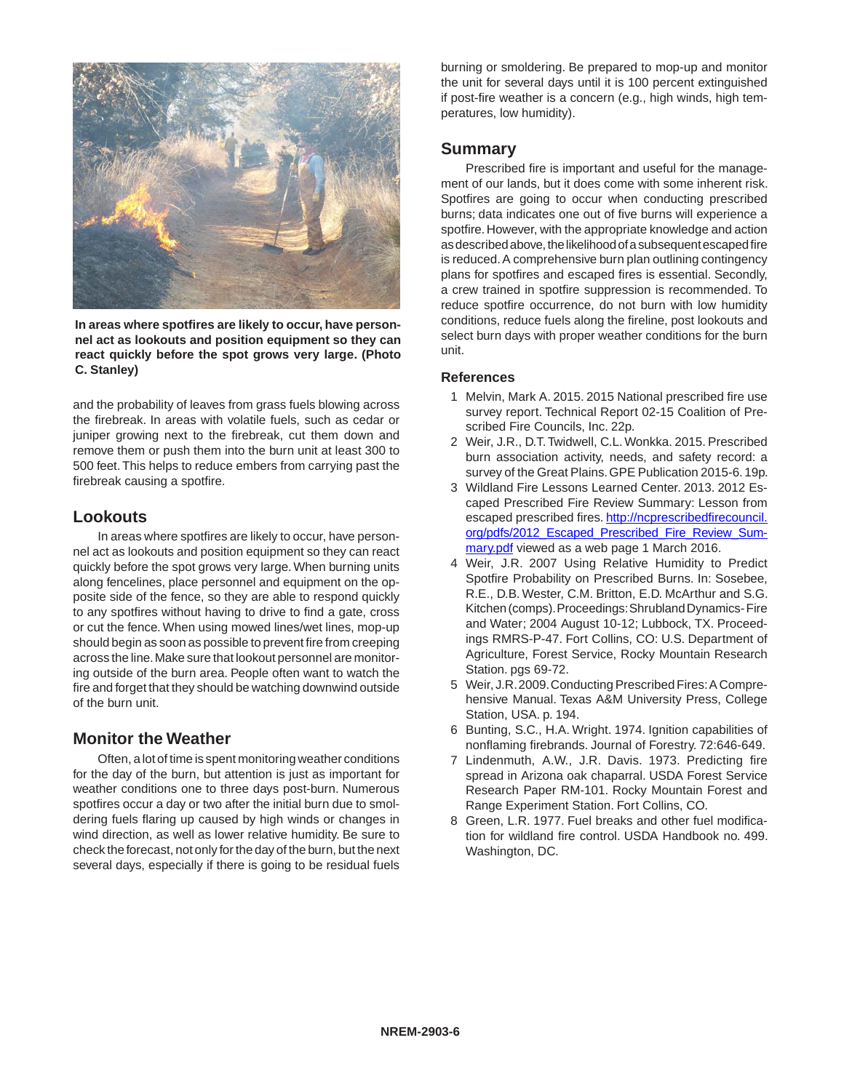

**In areas where spotfires are likely to occur, have personnel act as lookouts and position equipment so they can react quickly before the spot grows very large. (Photo C. Stanley)**

and the probability of leaves from grass fuels blowing across the firebreak. In areas with volatile fuels, such as cedar or juniper growing next to the firebreak, cut them down and remove them or push them into the burn unit at least 300 to 500 feet. This helps to reduce embers from carrying past the firebreak causing a spotfire.

#### **Lookouts**

In areas where spotfires are likely to occur, have personnel act as lookouts and position equipment so they can react quickly before the spot grows very large. When burning units along fencelines, place personnel and equipment on the opposite side of the fence, so they are able to respond quickly to any spotfires without having to drive to find a gate, cross or cut the fence. When using mowed lines/wet lines, mop-up should begin as soon as possible to prevent fire from creeping across the line. Make sure that lookout personnel are monitoring outside of the burn area. People often want to watch the fire and forget that they should be watching downwind outside of the burn unit.

### **Monitor the Weather**

Often, a lot of time is spent monitoring weather conditions for the day of the burn, but attention is just as important for weather conditions one to three days post-burn. Numerous spotfires occur a day or two after the initial burn due to smoldering fuels flaring up caused by high winds or changes in wind direction, as well as lower relative humidity. Be sure to check the forecast, not only for the day of the burn, but the next several days, especially if there is going to be residual fuels

burning or smoldering. Be prepared to mop-up and monitor the unit for several days until it is 100 percent extinguished if post-fire weather is a concern (e.g., high winds, high temperatures, low humidity).

#### **Summary**

Prescribed fire is important and useful for the management of our lands, but it does come with some inherent risk. Spotfires are going to occur when conducting prescribed burns; data indicates one out of five burns will experience a spotfire. However, with the appropriate knowledge and action as described above, the likelihood of a subsequent escaped fire is reduced. A comprehensive burn plan outlining contingency plans for spotfires and escaped fires is essential. Secondly, a crew trained in spotfire suppression is recommended. To reduce spotfire occurrence, do not burn with low humidity conditions, reduce fuels along the fireline, post lookouts and select burn days with proper weather conditions for the burn unit.

#### **References**

- 1 Melvin, Mark A. 2015. 2015 National prescribed fire use survey report. Technical Report 02-15 Coalition of Prescribed Fire Councils, Inc. 22p.
- 2 Weir, J.R., D.T. Twidwell, C.L. Wonkka. 2015. Prescribed burn association activity, needs, and safety record: a survey of the Great Plains. GPE Publication 2015-6. 19p.
- 3 Wildland Fire Lessons Learned Center. 2013. 2012 Escaped Prescribed Fire Review Summary: Lesson from escaped prescribed fires. http://ncprescribedfirecouncil. org/pdfs/2012\_Escaped\_Prescribed\_Fire\_Review\_Summary.pdf viewed as a web page 1 March 2016.
- 4 Weir, J.R. 2007 Using Relative Humidity to Predict Spotfire Probability on Prescribed Burns. In: Sosebee, R.E., D.B. Wester, C.M. Britton, E.D. McArthur and S.G. Kitchen (comps). Proceedings: Shrubland Dynamics- Fire and Water; 2004 August 10-12; Lubbock, TX. Proceedings RMRS-P-47. Fort Collins, CO: U.S. Department of Agriculture, Forest Service, Rocky Mountain Research Station. pgs 69-72.
- 5 Weir, J.R. 2009. Conducting Prescribed Fires: A Comprehensive Manual. Texas A&M University Press, College Station, USA. p. 194.
- 6 Bunting, S.C., H.A. Wright. 1974. Ignition capabilities of nonflaming firebrands. Journal of Forestry. 72:646-649.
- 7 Lindenmuth, A.W., J.R. Davis. 1973. Predicting fire spread in Arizona oak chaparral. USDA Forest Service Research Paper RM-101. Rocky Mountain Forest and Range Experiment Station. Fort Collins, CO.
- 8 Green, L.R. 1977. Fuel breaks and other fuel modification for wildland fire control. USDA Handbook no. 499. Washington, DC.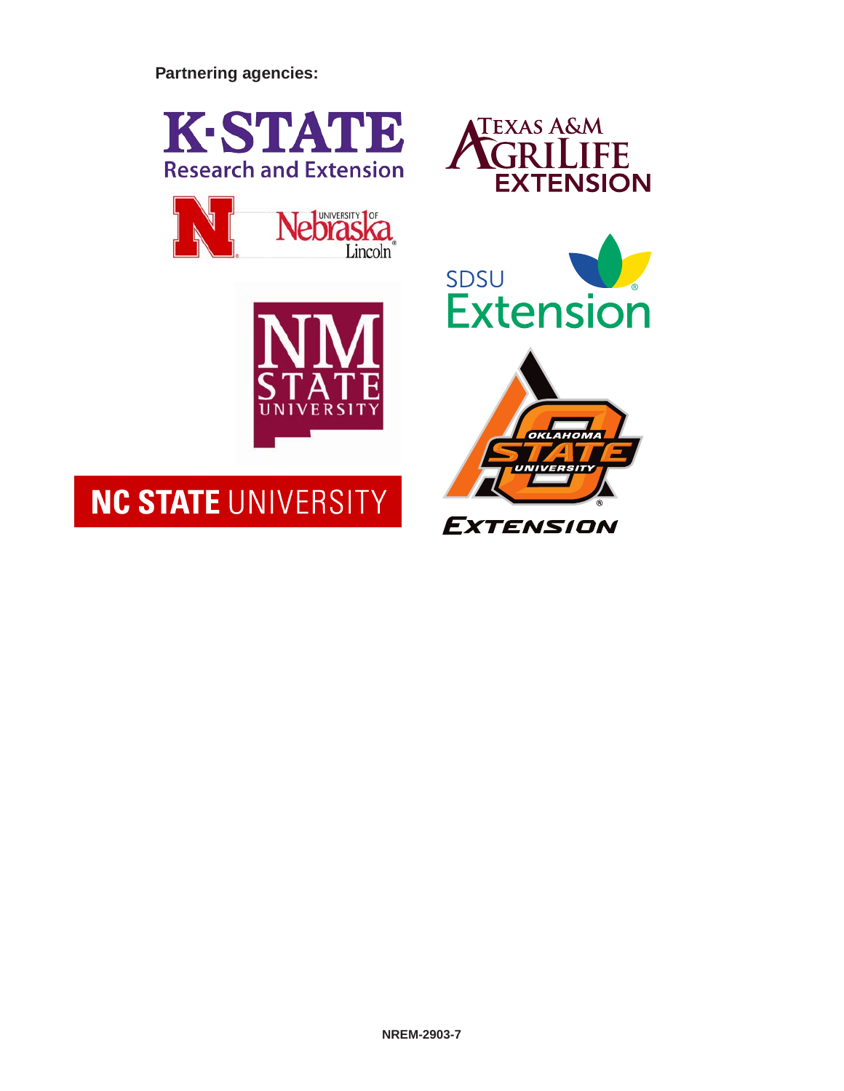**Partnering agencies:**





# NC STATE UNIVERSITY